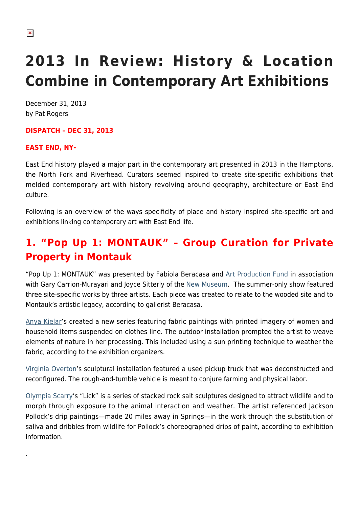# **2013 In Review: History & Location Combine in Contemporary Art Exhibitions**

December 31, 2013 by Pat Rogers

# **DISPATCH – DEC 31, 2013**

# **EAST END, NY-**

.

East End history played a major part in the contemporary art presented in 2013 in the Hamptons, the North Fork and Riverhead. Curators seemed inspired to create site-specific exhibitions that melded contemporary art with history revolving around geography, architecture or East End culture.

Following is an overview of the ways specificity of place and history inspired site-specific art and exhibitions linking contemporary art with East End life.

# **1. "Pop Up 1: MONTAUK" – Group Curation for Private Property in Montauk**

"Pop Up 1: MONTAUK" was presented by Fabiola Beracasa and [Art Production Fund](http://www.artproductionfund.org/) in association with Gary Carrion-Murayari and Joyce Sitterly of the [New Museum](http://www.newmuseum.org/). The summer-only show featured three site-specific works by three artists. Each piece was created to relate to the wooded site and to Montauk's artistic legacy, according to gallerist Beracasa.

[Anya Kielar](http://www.racheluffnergallery.com/artists/anya-kielar/)'s created a new series featuring fabric paintings with printed imagery of women and household items suspended on clothes line. The outdoor installation prompted the artist to weave elements of nature in her processing. This included using a sun printing technique to weather the fabric, according to the exhibition organizers.

[Virginia Overton'](http://www.miandn.com/artists/virginia-overton/works/1/)s sculptural installation featured a used pickup truck that was deconstructed and reconfigured. The rough-and-tumble vehicle is meant to conjure farming and physical labor.

[Olympia Scarry'](http://olympiascarry.com/)s "Lick" is a series of stacked rock salt sculptures designed to attract wildlife and to morph through exposure to the animal interaction and weather. The artist referenced Jackson Pollock's drip paintings—made 20 miles away in Springs—in the work through the substitution of saliva and dribbles from wildlife for Pollock's choreographed drips of paint, according to exhibition information.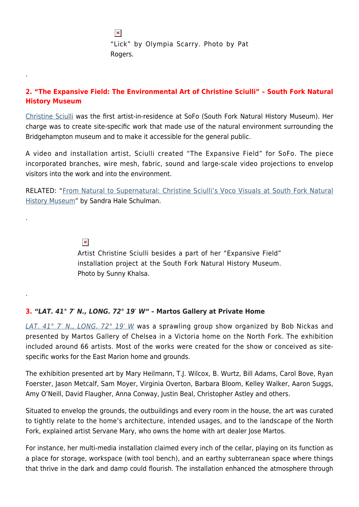$\pmb{\times}$ "Lick" by Olympia Scarry. Photo by Pat Rogers.

# **2. "The Expansive Field: The Environmental Art of Christine Sciulli" – South Fork Natural History Museum**

[Christine Sciulli](http://www.soundandvision.cc/) was the first artist-in-residence at SoFo (South Fork Natural History Museum). Her charge was to create site-specific work that made use of the natural environment surrounding the Bridgehampton museum and to make it accessible for the general public.

A video and installation artist, Sciulli created "The Expansive Field" for SoFo. The piece incorporated branches, wire mesh, fabric, sound and large-scale video projections to envelop visitors into the work and into the environment.

RELATED: "[From Natural to Supernatural: Christine Sciulli's Voco Visuals at South Fork Natural](https://hamptonsarthub.com/2013/05/31/from-natural-to-supernatural-christine-sciullis-voco-visuals-at-south-fork-natural-history-museum/) [History Museum"](https://hamptonsarthub.com/2013/05/31/from-natural-to-supernatural-christine-sciullis-voco-visuals-at-south-fork-natural-history-museum/) by Sandra Hale Schulman.

 $\pmb{\times}$ 

.

.

.

Artist Christine Sciulli besides a part of her "Expansive Field" installation project at the South Fork Natural History Museum. Photo by Sunny Khalsa.

# **3.** *"LAT. 41° 7′ N., LONG. 72° 19′ W"* **– Martos Gallery at Private Home**

LAT. 41° 7' N., LONG. 72° 19' W was a sprawling group show organized by Bob Nickas and presented by Martos Gallery of Chelsea in a Victoria home on the North Fork. The exhibition included around 66 artists. Most of the works were created for the show or conceived as sitespecific works for the East Marion home and grounds.

The exhibition presented art by Mary Heilmann, T.J. Wilcox, B. Wurtz, Bill Adams, Carol Bove, Ryan Foerster, Jason Metcalf, Sam Moyer, Virginia Overton, Barbara Bloom, Kelley Walker, Aaron Suggs, Amy O'Neill, David Flaugher, Anna Conway, Justin Beal, Christopher Astley and others.

Situated to envelop the grounds, the outbuildings and every room in the house, the art was curated to tightly relate to the home's architecture, intended usages, and to the landscape of the North Fork, explained artist Servane Mary, who owns the home with art dealer Jose Martos.

For instance, her multi-media installation claimed every inch of the cellar, playing on its function as a place for storage, workspace (with tool bench), and an earthy subterranean space where things that thrive in the dark and damp could flourish. The installation enhanced the atmosphere through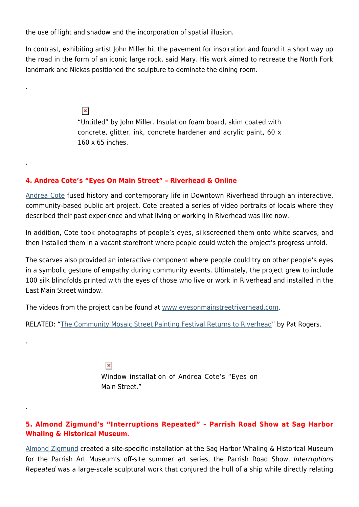the use of light and shadow and the incorporation of spatial illusion.

.

.

.

.

In contrast, exhibiting artist John Miller hit the pavement for inspiration and found it a short way up the road in the form of an iconic large rock, said Mary. His work aimed to recreate the North Fork landmark and Nickas positioned the sculpture to dominate the dining room.

> $\pmb{\times}$ "Untitled" by John Miller. Insulation foam board, skim coated with concrete, glitter, ink, concrete hardener and acrylic paint, 60 x 160 x 65 inches.

#### **4. Andrea Cote's "Eyes On Main Street" – Riverhead & Online**

[Andrea Cote](http://www.andreaspace.net/) fused history and contemporary life in Downtown Riverhead through an interactive, community-based public art project. Cote created a series of video portraits of locals where they described their past experience and what living or working in Riverhead was like now.

In addition, Cote took photographs of people's eyes, silkscreened them onto white scarves, and then installed them in a vacant storefront where people could watch the project's progress unfold.

The scarves also provided an interactive component where people could try on other people's eyes in a symbolic gesture of empathy during community events. Ultimately, the project grew to include 100 silk blindfolds printed with the eyes of those who live or work in Riverhead and installed in the East Main Street window.

The videos from the project can be found at [www.eyesonmainstreetriverhead.com.](http://www.eyesonmainstreetriverehead.com/)

RELATED: "[The Community Mosaic Street Painting Festival Returns to Riverhead](https://hamptonsarthub.com/2013/05/25/the-community-mosaic-street-painting-festival-returns-to-riverhead/)" by Pat Rogers.

 $\pmb{\times}$ Window installation of Andrea Cote's "Eyes on Main Street."

#### **5. Almond Zigmund's "Interruptions Repeated" – Parrish Road Show at Sag Harbor Whaling & Historical Museum.**

[Almond Zigmund](http://www.almondzigmund.com/) created a site-specific installation at the Sag Harbor Whaling & Historical Museum for the Parrish Art Museum's off-site summer art series, the Parrish Road Show. Interruptions Repeated was a large-scale sculptural work that conjured the hull of a ship while directly relating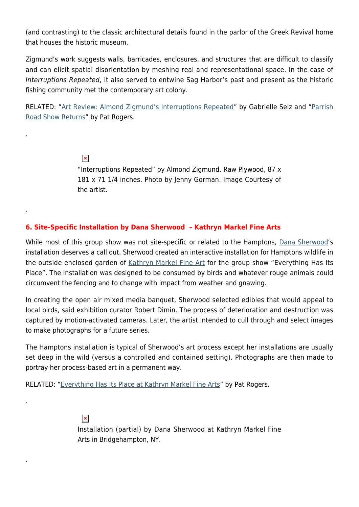(and contrasting) to the classic architectural details found in the parlor of the Greek Revival home that houses the historic museum.

Zigmund's work suggests walls, barricades, enclosures, and structures that are difficult to classify and can elicit spatial disorientation by meshing real and representational space. In the case of Interruptions Repeated, it also served to entwine Sag Harbor's past and present as the historic fishing community met the contemporary art colony.

RELATED: ["Art Review: Almond Zigmund's Interruptions Repeated"](https://hamptonsarthub.com/2013/09/06/art-review-almond-zigmunds-interruptions-repeated/) by Gabrielle Selz and "[Parrish](https://hamptonsarthub.com/2013/08/05/parrish-road-show-returns/) [Road Show Returns"](https://hamptonsarthub.com/2013/08/05/parrish-road-show-returns/) by Pat Rogers.

 $\pmb{\times}$ 

.

.

.

.

"Interruptions Repeated" by Almond Zigmund. Raw Plywood, 87 x 181 x 71 1/4 inches. Photo by Jenny Gorman. Image Courtesy of the artist.

#### **6. Site-Specific Installation by Dana Sherwood – Kathryn Markel Fine Arts**

While most of this group show was not site-specific or related to the Hamptons, [Dana Sherwood](http://www.danasherwoodstudio.com/)'s installation deserves a call out. Sherwood created an interactive installation for Hamptons wildlife in the outside enclosed garden of [Kathryn Markel Fine Art](http://www.markelfinearts.com/) for the group show "Everything Has Its Place". The installation was designed to be consumed by birds and whatever rouge animals could circumvent the fencing and to change with impact from weather and gnawing.

In creating the open air mixed media banquet, Sherwood selected edibles that would appeal to local birds, said exhibition curator Robert Dimin. The process of deterioration and destruction was captured by motion-activated cameras. Later, the artist intended to cull through and select images to make photographs for a future series.

The Hamptons installation is typical of Sherwood's art process except her installations are usually set deep in the wild (versus a controlled and contained setting). Photographs are then made to portray her process-based art in a permanent way.

RELATED: "[Everything Has Its Place at Kathryn Markel Fine Arts](https://hamptonsarthub.com/2013/06/13/everything-has-its-place-at-kathryn-markel-fine-arts/)" by Pat Rogers.

 $\pmb{\times}$ 

Installation (partial) by Dana Sherwood at Kathryn Markel Fine Arts in Bridgehampton, NY.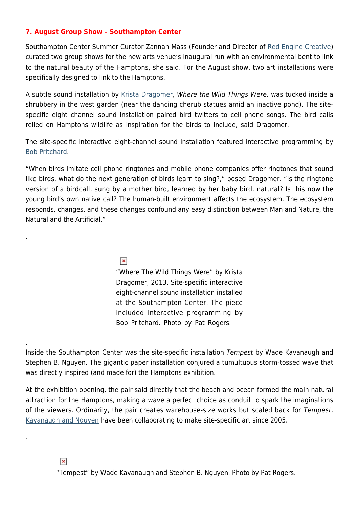#### **7. August Group Show – Southampton Center**

Southampton Center Summer Curator Zannah Mass (Founder and Director of [Red Engine Creative\)](http://redenginecreative.com/) curated two group shows for the new arts venue's inaugural run with an environmental bent to link to the natural beauty of the Hamptons, she said. For the August show, two art installations were specifically designed to link to the Hamptons.

A subtle sound installation by [Krista Dragomer](http://www.kristadragomer.com/), Where the Wild Things Were, was tucked inside a shrubbery in the west garden (near the dancing cherub statues amid an inactive pond). The sitespecific eight channel sound installation paired bird twitters to cell phone songs. The bird calls relied on Hamptons wildlife as inspiration for the birds to include, said Dragomer.

The site-specific interactive eight-channel sound installation featured interactive programming by [Bob Pritchard](http://debussy.music.ubc.ca/pritchard/).

"When birds imitate cell phone ringtones and mobile phone companies offer ringtones that sound like birds, what do the next generation of birds learn to sing?," posed Dragomer. "Is the ringtone version of a birdcall, sung by a mother bird, learned by her baby bird, natural? Is this now the young bird's own native call? The human-built environment affects the ecosystem. The ecosystem responds, changes, and these changes confound any easy distinction between Man and Nature, the Natural and the Artificial."

 $\pmb{\times}$ 

.

.

.

"Where The Wild Things Were" by Krista Dragomer, 2013. Site-specific interactive eight-channel sound installation installed at the Southampton Center. The piece included interactive programming by Bob Pritchard. Photo by Pat Rogers.

Inside the Southampton Center was the site-specific installation Tempest by Wade Kavanaugh and Stephen B. Nguyen. The gigantic paper installation conjured a tumultuous storm-tossed wave that was directly inspired (and made for) the Hamptons exhibition.

At the exhibition opening, the pair said directly that the beach and ocean formed the main natural attraction for the Hamptons, making a wave a perfect choice as conduit to spark the imaginations of the viewers. Ordinarily, the pair creates warehouse-size works but scaled back for Tempest. [Kavanaugh and Nguyen](http://stripedcanary.com/home.html) have been collaborating to make site-specific art since 2005.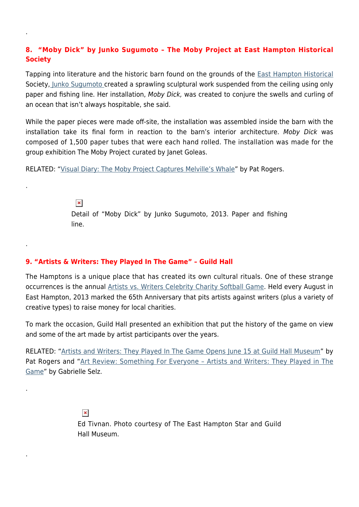# **8. "Moby Dick" by Junko Sugumoto – The Moby Project at East Hampton Historical Society**

Tapping into literature and the historic barn found on the grounds of the [East Hampton Historical](http://www.easthamptonhistory.org/) Society[, Junko Sugumoto c](http://www.junkoart.com/)reated a sprawling sculptural work suspended from the ceiling using only paper and fishing line. Her installation, Moby Dick, was created to conjure the swells and curling of an ocean that isn't always hospitable, she said.

While the paper pieces were made off-site, the installation was assembled inside the barn with the installation take its final form in reaction to the barn's interior architecture. Moby Dick was composed of 1,500 paper tubes that were each hand rolled. The installation was made for the group exhibition The Moby Project curated by Janet Goleas.

RELATED: "[Visual Diary: The Moby Project Captures Melville's Whale"](https://hamptonsarthub.com/2013/10/16/visual-diary-the-moby-project-captures-melvilles-whale/) by Pat Rogers.

 $\pmb{\times}$ Detail of "Moby Dick" by Junko Sugumoto, 2013. Paper and fishing line.

#### **9. "Artists & Writers: They Played In The Game" – Guild Hall**

The Hamptons is a unique place that has created its own cultural rituals. One of these strange occurrences is the annual [Artists vs. Writers Celebrity Charity Softball Game.](http://www.artistswritersgame.org/) Held every August in East Hampton, 2013 marked the 65th Anniversary that pits artists against writers (plus a variety of creative types) to raise money for local charities.

To mark the occasion, Guild Hall presented an exhibition that put the history of the game on view and some of the art made by artist participants over the years.

RELATED: "[Artists and Writers: They Played In The Game Opens June 15 at Guild Hall Museum](https://hamptonsarthub.com/2013/06/12/artists-and-writers-they-played-in-the-game-opens-june-15-at-guild-hall-museum/)" by Pat Rogers and "Art Review: Something For Everyone - Artists and Writers: They Played in The [Game"](https://hamptonsarthub.com/2013/07/15/art-review-something-for-everyone-artists-writers-they-played-in-the-game/) by Gabrielle Selz.

 $\pmb{\times}$ 

.

.

.

.

.

Ed Tivnan. Photo courtesy of The East Hampton Star and Guild Hall Museum.